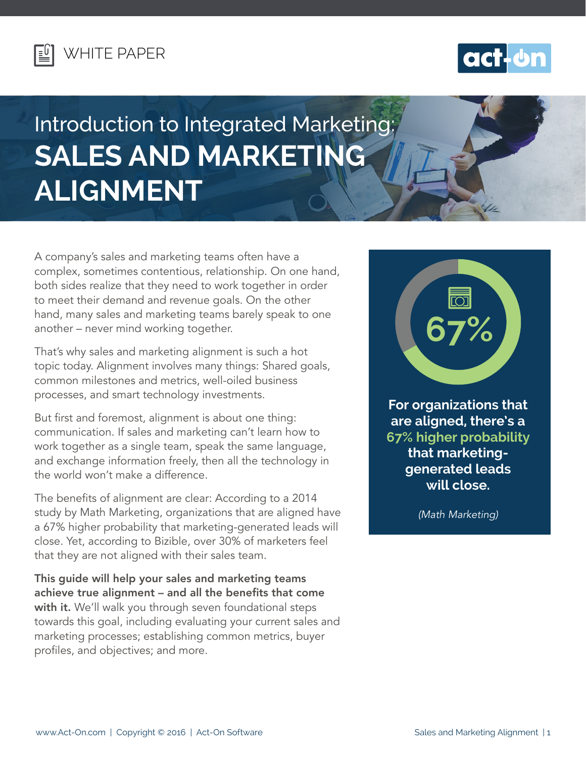



# Introduction to Integrated Marketing: **SALES AND MARKETING ALIGNMENT**

A company's sales and marketing teams often have a complex, sometimes contentious, relationship. On one hand, both sides realize that they need to work together in order to meet their demand and revenue goals. On the other hand, many sales and marketing teams barely speak to one another – never mind working together.

That's why sales and marketing alignment is such a hot topic today. Alignment involves many things: Shared goals, common milestones and metrics, well-oiled business processes, and smart technology investments.

But first and foremost, alignment is about one thing: communication. If sales and marketing can't learn how to work together as a single team, speak the same language, and exchange information freely, then all the technology in the world won't make a difference.

The benefits of alignment are clear: According to a 2014 study by Math Marketing, organizations that are aligned have a 67% higher probability that marketing-generated leads will close. Yet, according to Bizible, over 30% of marketers feel that they are not aligned with their sales team.

This guide will help your sales and marketing teams achieve true alignment – and all the benefits that come with it. We'll walk you through seven foundational steps towards this goal, including evaluating your current sales and marketing processes; establishing common metrics, buyer profiles, and objectives; and more.



**For organizations that are aligned, there's a 67% higher probability that marketinggenerated leads will close.**

*(Math Marketing)*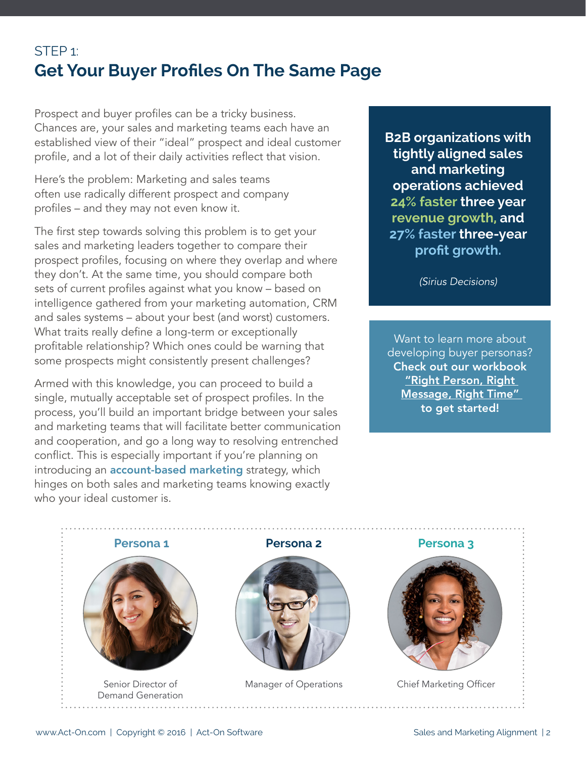## STEP 1: **Get Your Buyer Profiles On The Same Page**

Prospect and buyer profiles can be a tricky business. Chances are, your sales and marketing teams each have an established view of their "ideal" prospect and ideal customer profile, and a lot of their daily activities reflect that vision.

Here's the problem: Marketing and sales teams often use radically different prospect and company profiles – and they may not even know it.

The first step towards solving this problem is to get your sales and marketing leaders together to compare their prospect profiles, focusing on where they overlap and where they don't. At the same time, you should compare both sets of current profiles against what you know – based on intelligence gathered from your marketing automation, CRM and sales systems – about your best (and worst) customers. What traits really define a long-term or exceptionally profitable relationship? Which ones could be warning that some prospects might consistently present challenges?

Armed with this knowledge, you can proceed to build a single, mutually acceptable set of prospect profiles. In the process, you'll build an important bridge between your sales and marketing teams that will facilitate better communication and cooperation, and go a long way to resolving entrenched conflict. This is especially important if you're planning on introducing an **[account-based marketing](http://mktg.actonsoftware.com/acton/attachment/248/f-1dcf/1/-/-/-/-/ActOn_AO007_EBK_AccountBasedMarketing_DESIGN_v007_FINAL.pdf?sid=HYIsNhoMI)** strategy, which hinges on both sales and marketing teams knowing exactly who your ideal customer is.

**B2B organizations with tightly aligned sales and marketing operations achieved 24% faster three year revenue growth, and 27% faster three-year profit growth.**

*(Sirius Decisions)*

Want to learn more about developing buyer personas? Check out our workbook ["Right Person, Right](http://mktg.actonsoftware.com/acton/attachment/248/f-20a4/1/-/-/-/-/Right%20Person_%20Right%20Message_%20Right%20Time.pdf)  [Message, Right Time"](http://mktg.actonsoftware.com/acton/attachment/248/f-20a4/1/-/-/-/-/Right%20Person_%20Right%20Message_%20Right%20Time.pdf)  to get started!

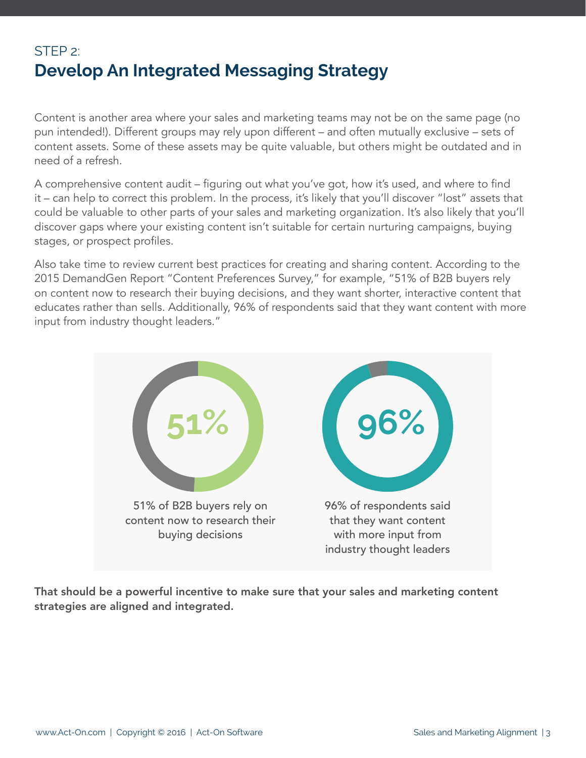## STEP 2: **Develop An Integrated Messaging Strategy**

Content is another area where your sales and marketing teams may not be on the same page (no pun intended!). Different groups may rely upon different – and often mutually exclusive – sets of content assets. Some of these assets may be quite valuable, but others might be outdated and in need of a refresh.

A comprehensive content audit – figuring out what you've got, how it's used, and where to find it – can help to correct this problem. In the process, it's likely that you'll discover "lost" assets that could be valuable to other parts of your sales and marketing organization. It's also likely that you'll discover gaps where your existing content isn't suitable for certain nurturing campaigns, buying stages, or prospect profiles.

Also take time to review current best practices for creating and sharing content. According to the 2015 DemandGen Report "Content Preferences Survey," for example, "51% of B2B buyers rely on content now to research their buying decisions, and they want shorter, interactive content that educates rather than sells. Additionally, 96% of respondents said that they want content with more input from industry thought leaders."



That should be a powerful incentive to make sure that your sales and marketing content strategies are aligned and integrated.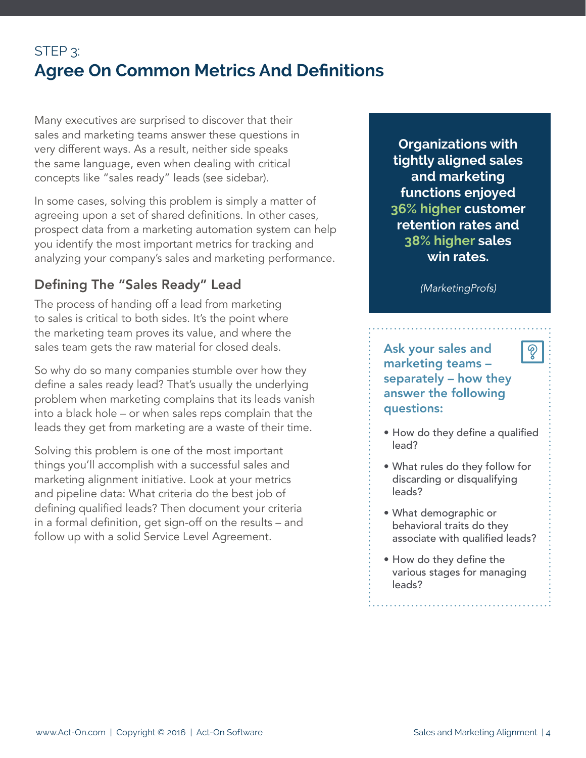## STEP<sub>3</sub>: **Agree On Common Metrics And Definitions**

Many executives are surprised to discover that their sales and marketing teams answer these questions in very different ways. As a result, neither side speaks the same language, even when dealing with critical concepts like "sales ready" leads (see sidebar).

In some cases, solving this problem is simply a matter of agreeing upon a set of shared definitions. In other cases, prospect data from a marketing automation system can help you identify the most important metrics for tracking and analyzing your company's sales and marketing performance.

#### Defining The "Sales Ready" Lead

The process of handing off a lead from marketing to sales is critical to both sides. It's the point where the marketing team proves its value, and where the sales team gets the raw material for closed deals.

So why do so many companies stumble over how they define a sales ready lead? That's usually the underlying problem when marketing complains that its leads vanish into a black hole – or when sales reps complain that the leads they get from marketing are a waste of their time.

Solving this problem is one of the most important things you'll accomplish with a successful sales and marketing alignment initiative. Look at your metrics and pipeline data: What criteria do the best job of defining qualified leads? Then document your criteria in a formal definition, get sign-off on the results – and follow up with a solid Service Level Agreement.

**Organizations with tightly aligned sales and marketing functions enjoyed 36% higher customer retention rates and 38% higher sales win rates.**

*(MarketingProfs)*

Ask your sales and marketing teams – separately – how they answer the following questions:

• How do they define a qualified lead?

စွ

- What rules do they follow for discarding or disqualifying leads?
- What demographic or behavioral traits do they associate with qualified leads?
- • How do they define the various stages for managing leads?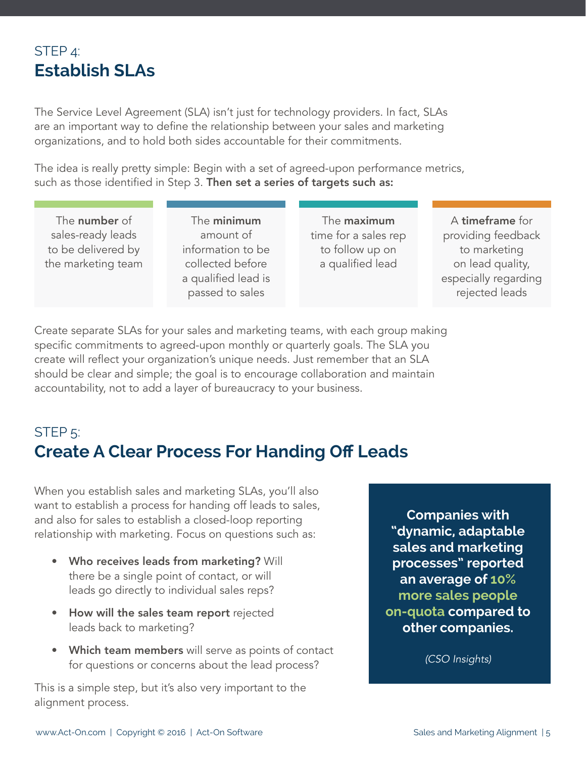#### STEP 4: **Establish SLAs**

The Service Level Agreement (SLA) isn't just for technology providers. In fact, SLAs are an important way to define the relationship between your sales and marketing organizations, and to hold both sides accountable for their commitments.

The idea is really pretty simple: Begin with a set of agreed-upon performance metrics, such as those identified in Step 3. Then set a series of targets such as:

The number of sales-ready leads to be delivered by the marketing team

The minimum amount of information to be collected before a qualified lead is passed to sales

The maximum time for a sales rep to follow up on a qualified lead

A timeframe for providing feedback to marketing on lead quality, especially regarding rejected leads

Create separate SLAs for your sales and marketing teams, with each group making specific commitments to agreed-upon monthly or quarterly goals. The SLA you create will reflect your organization's unique needs. Just remember that an SLA should be clear and simple; the goal is to encourage collaboration and maintain accountability, not to add a layer of bureaucracy to your business.

# STEP 5: **Create A Clear Process For Handing Off Leads**

When you establish sales and marketing SLAs, you'll also want to establish a process for handing off leads to sales, and also for sales to establish a closed-loop reporting relationship with marketing. Focus on questions such as:

- Who receives leads from marketing? Will there be a single point of contact, or will leads go directly to individual sales reps?
- How will the sales team report rejected leads back to marketing?
- **Which team members** will serve as points of contact for questions or concerns about the lead process?

This is a simple step, but it's also very important to the alignment process.

**Companies with "dynamic, adaptable sales and marketing processes" reported an average of 10% more sales people on-quota compared to other companies.**

*(CSO Insights)*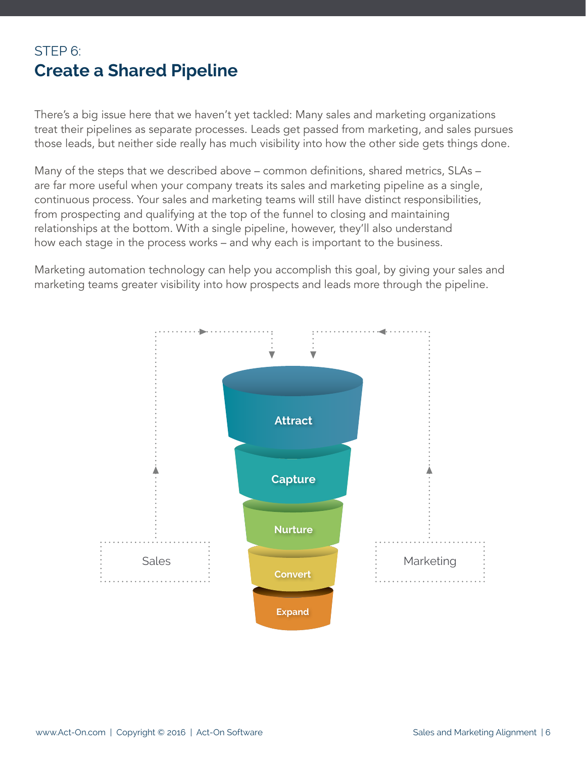### STEP 6: **Create a Shared Pipeline**

There's a big issue here that we haven't yet tackled: Many sales and marketing organizations treat their pipelines as separate processes. Leads get passed from marketing, and sales pursues those leads, but neither side really has much visibility into how the other side gets things done.

Many of the steps that we described above – common definitions, shared metrics, SLAs – are far more useful when your company treats its sales and marketing pipeline as a single, continuous process. Your sales and marketing teams will still have distinct responsibilities, from prospecting and qualifying at the top of the funnel to closing and maintaining relationships at the bottom. With a single pipeline, however, they'll also understand how each stage in the process works – and why each is important to the business.

Marketing automation technology can help you accomplish this goal, by giving your sales and marketing teams greater visibility into how prospects and leads more through the pipeline.